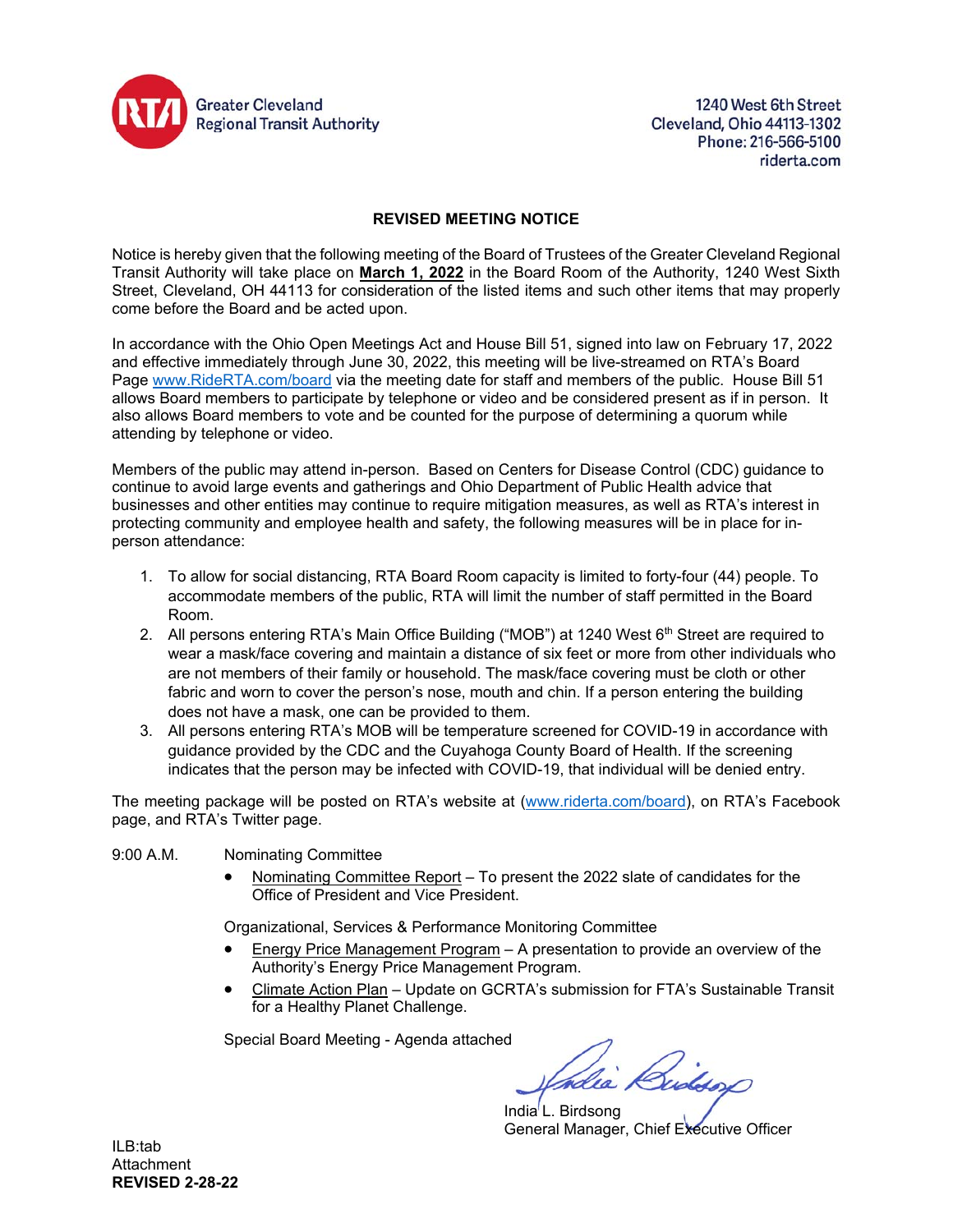

1240 West 6th Street Cleveland, Ohio 44113-1302 Phone: 216-566-5100 riderta.com

### **REVISED MEETING NOTICE**

Notice is hereby given that the following meeting of the Board of Trustees of the Greater Cleveland Regional Transit Authority will take place on **March 1, 2022** in the Board Room of the Authority, 1240 West Sixth Street, Cleveland, OH 44113 for consideration of the listed items and such other items that may properly come before the Board and be acted upon.

In accordance with the Ohio Open Meetings Act and House Bill 51, signed into law on February 17, 2022 and effective immediately through June 30, 2022, this meeting will be live-streamed on RTA's Board Page www.RideRTA.com/board via the meeting date for staff and members of the public. House Bill 51 allows Board members to participate by telephone or video and be considered present as if in person. It also allows Board members to vote and be counted for the purpose of determining a quorum while attending by telephone or video.

Members of the public may attend in-person. Based on Centers for Disease Control (CDC) guidance to continue to avoid large events and gatherings and Ohio Department of Public Health advice that businesses and other entities may continue to require mitigation measures, as well as RTA's interest in protecting community and employee health and safety, the following measures will be in place for inperson attendance:

- 1. To allow for social distancing, RTA Board Room capacity is limited to forty-four (44) people. To accommodate members of the public, RTA will limit the number of staff permitted in the Board Room.
- 2. All persons entering RTA's Main Office Building ("MOB") at 1240 West 6<sup>th</sup> Street are required to wear a mask/face covering and maintain a distance of six feet or more from other individuals who are not members of their family or household. The mask/face covering must be cloth or other fabric and worn to cover the person's nose, mouth and chin. If a person entering the building does not have a mask, one can be provided to them.
- 3. All persons entering RTA's MOB will be temperature screened for COVID-19 in accordance with guidance provided by the CDC and the Cuyahoga County Board of Health. If the screening indicates that the person may be infected with COVID-19, that individual will be denied entry.

The meeting package will be posted on RTA's website at (www.riderta.com/board), on RTA's Facebook page, and RTA's Twitter page.

- 9:00 A.M. Nominating Committee
	- Nominating Committee Report To present the 2022 slate of candidates for the Office of President and Vice President.

Organizational, Services & Performance Monitoring Committee

- Energy Price Management Program A presentation to provide an overview of the Authority's Energy Price Management Program.
- Climate Action Plan Update on GCRTA's submission for FTA's Sustainable Transit for a Healthy Planet Challenge.

Special Board Meeting - Agenda attached

India<sup>'</sup>L. Birdsong General Manager, Chief Executive Officer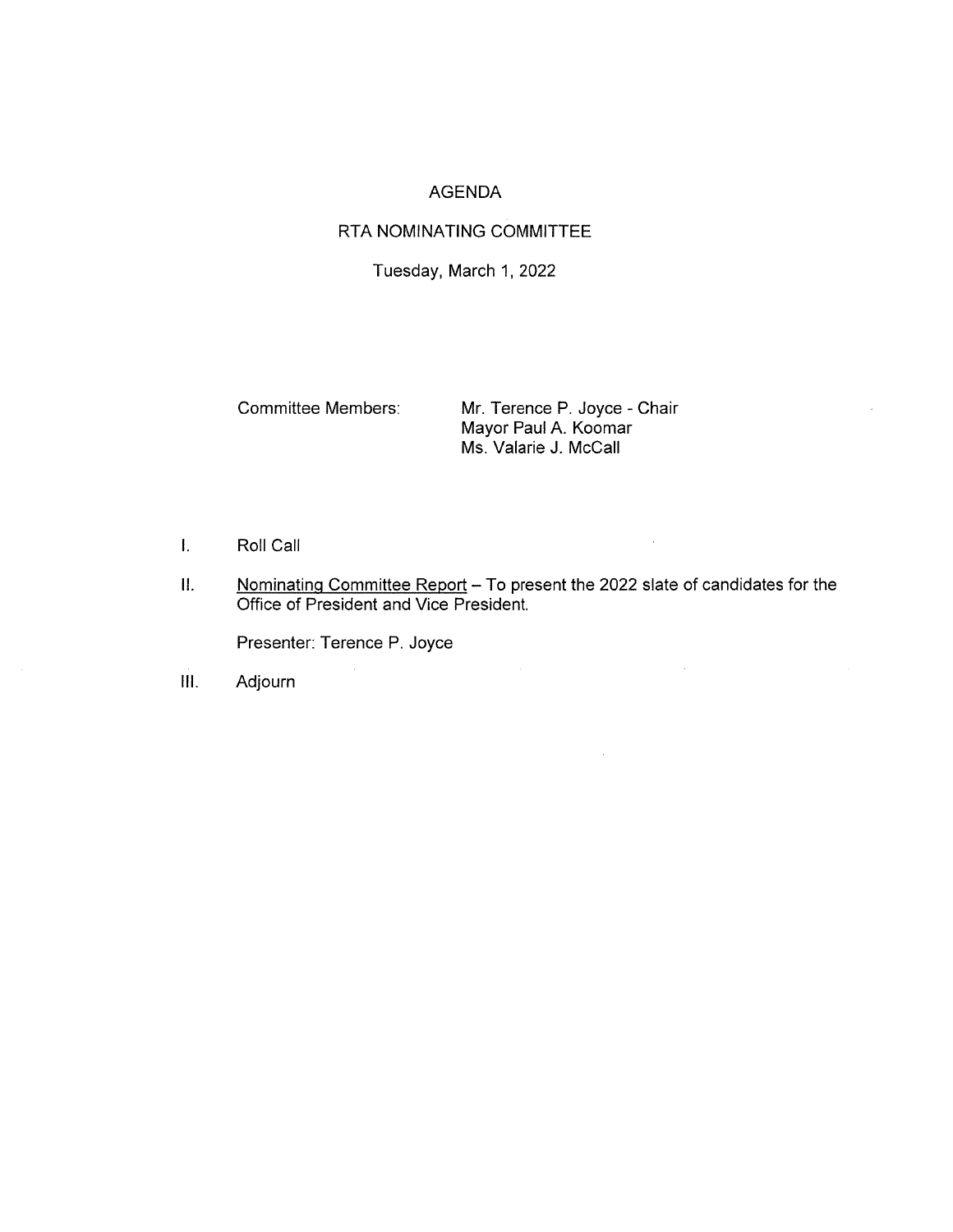# **AGENDA**

# RTA NOMINATING COMMITTEE

Tuesday, March 1, 2022

**Committee Members:** 

Mr. Terence P. Joyce - Chair Mayor Paul A. Koomar Ms. Valarie J. McCall

 $\sim$   $\sim$ 

 $\sim$ 

 $\sim 200$ 

- $\mathbf{L}$ Roll Call
- Nominating Committee Report To present the 2022 slate of candidates for the  $II.$ Office of President and Vice President.

Presenter: Terence P. Joyce

Adjourn  $III.$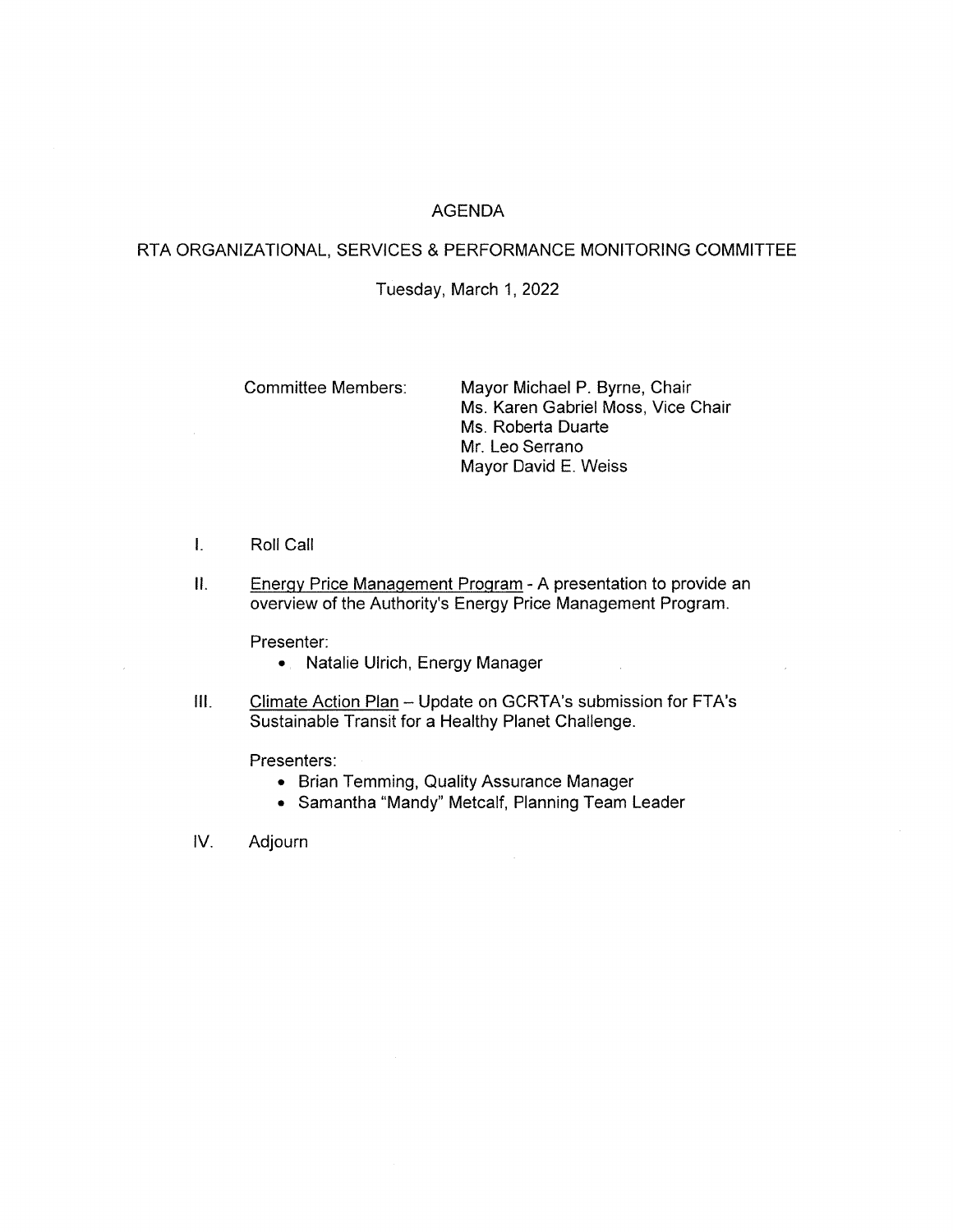## **AGENDA**

## RTA ORGANIZATIONAL, SERVICES & PERFORMANCE MONITORING COMMITTEE

#### Tuesday, March 1, 2022

**Committee Members:** 

Mayor Michael P. Byrne, Chair Ms. Karen Gabriel Moss, Vice Chair Ms. Roberta Duarte Mr. Leo Serrano Mayor David E. Weiss

- $\mathbf{L}$ Roll Call
- $II.$ Energy Price Management Program - A presentation to provide an overview of the Authority's Energy Price Management Program.

Presenter:

- Natalie Ulrich, Energy Manager
- $III.$ Climate Action Plan - Update on GCRTA's submission for FTA's Sustainable Transit for a Healthy Planet Challenge.

Presenters:

- Brian Temming, Quality Assurance Manager
- Samantha "Mandy" Metcalf, Planning Team Leader

IV. Adjourn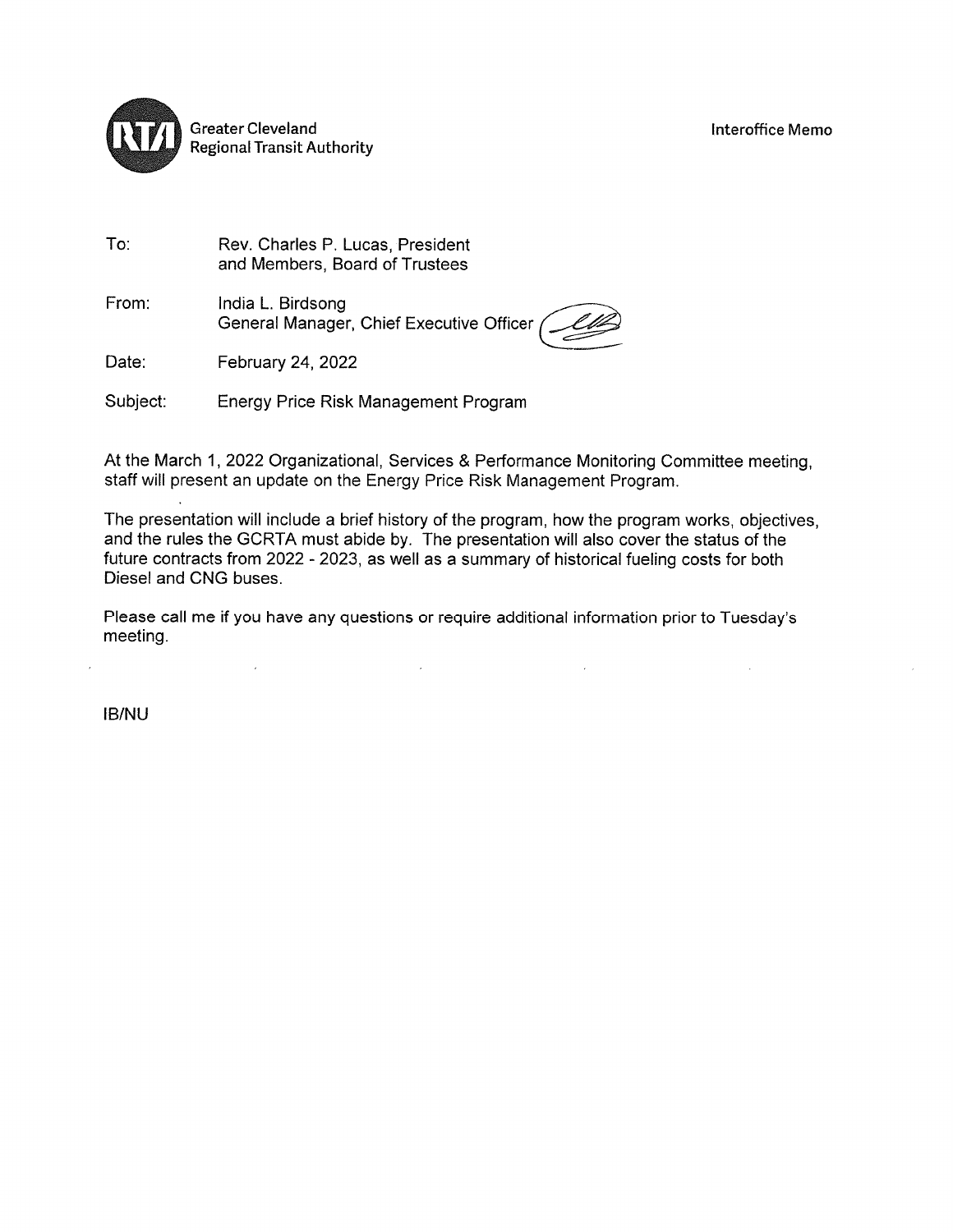

Rev. Charles P. Lucas, President and Members, Board of Trustees

From: India L. Birdsong General Manager, Chief Executive Officer

Date: February 24, 2022

Subject: Energy Price Risk Management Program

At the March 1, 2022 Organizational, Services & Performance Monitoring Committee meeting, staff will present an update on the Energy Price Risk Management Program.

The presentation will include a brief history of the program, how the program works, objectives, and the rules the GCRTA must abide by. The presentation will also cover the status of the future contracts from 2022 - 2023, as well as a summary of historical fueling costs for both Diesel and CNG buses.

Please call me if you have any questions or require additional information prior to Tuesday's meeting.

**IB/NU** 

To: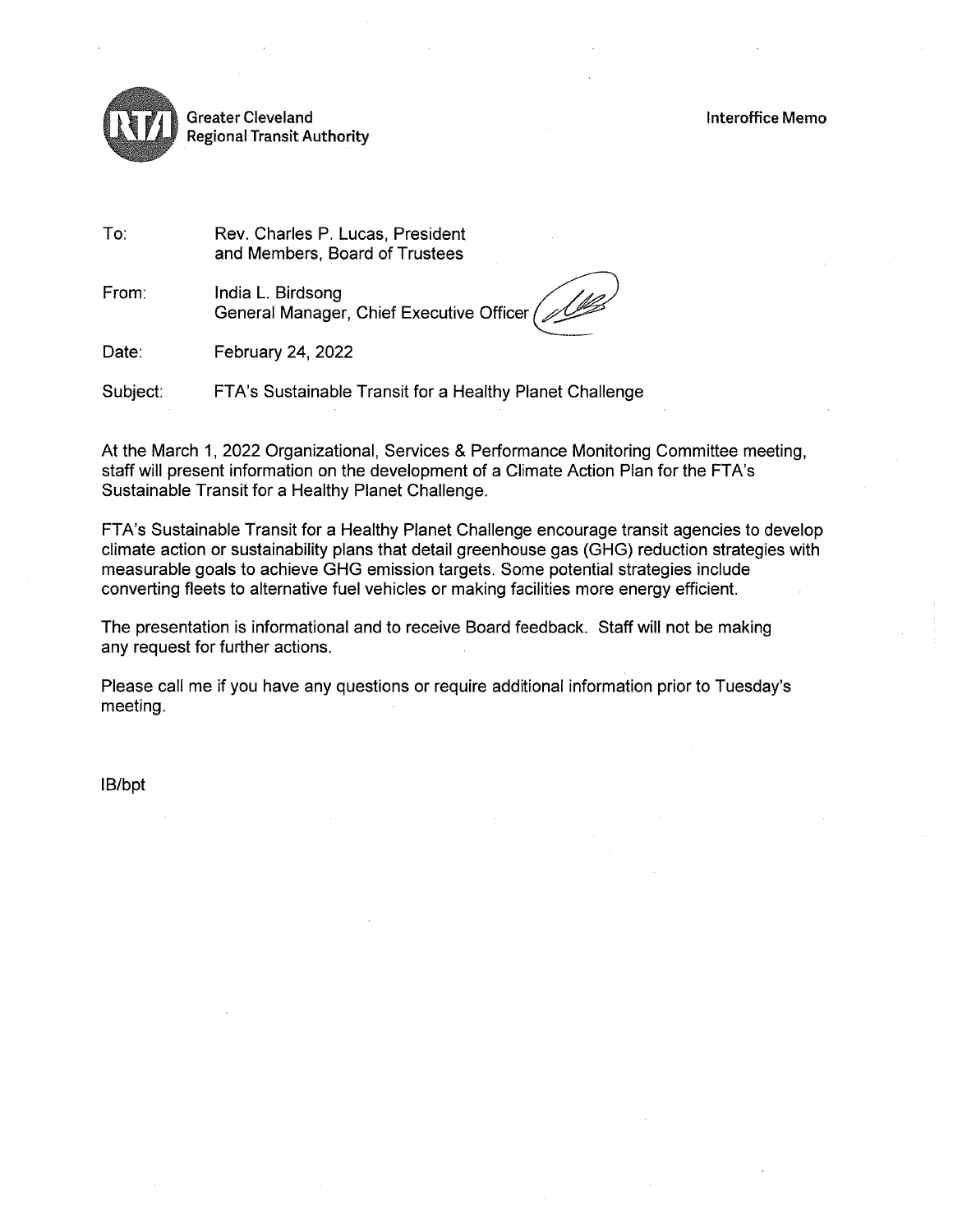

**Greater Cleveland Regional Transit Authority** 

To: Rev. Charles P. Lucas, President and Members, Board of Trustees

From: India L. Birdsong General Manager, Chief Executive Officer /

Date: February 24, 2022

Subject: FTA's Sustainable Transit for a Healthy Planet Challenge

At the March 1, 2022 Organizational, Services & Performance Monitoring Committee meeting, staff will present information on the development of a Climate Action Plan for the FTA's Sustainable Transit for a Healthy Planet Challenge.

FTA's Sustainable Transit for a Healthy Planet Challenge encourage transit agencies to develop climate action or sustainability plans that detail greenhouse gas (GHG) reduction strategies with measurable goals to achieve GHG emission targets. Some potential strategies include converting fleets to alternative fuel vehicles or making facilities more energy efficient.

The presentation is informational and to receive Board feedback. Staff will not be making any request for further actions.

Please call me if you have any questions or require additional information prior to Tuesday's meeting.

IB/bpt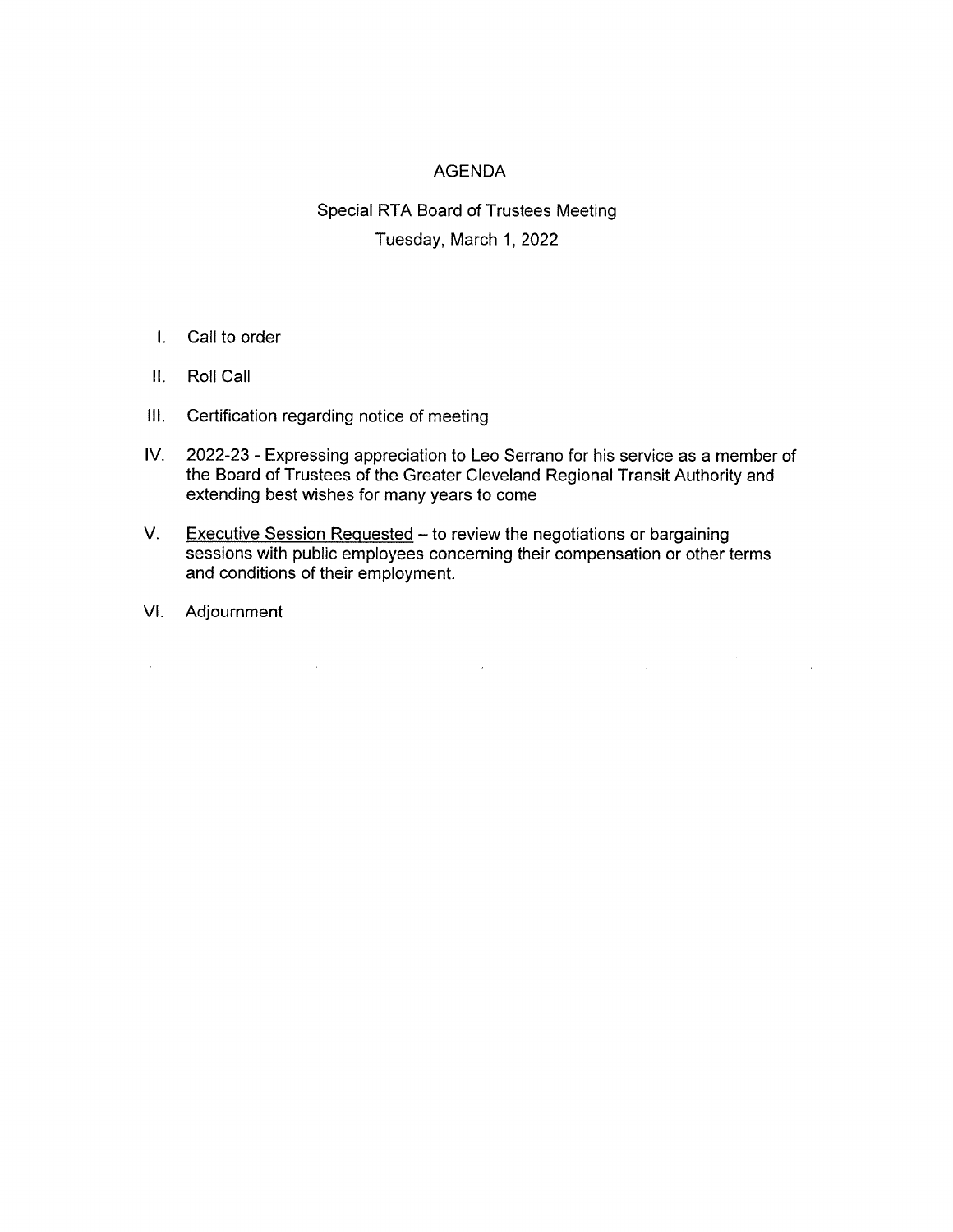# **AGENDA**

# Special RTA Board of Trustees Meeting Tuesday, March 1, 2022

- $\mathbf{L}$ Call to order
- II. Roll Call
- III. Certification regarding notice of meeting

 $\label{eq:2.1} \mathcal{L}(\mathcal{L}^{\text{max}}_{\text{max}}(\mathcal{L}^{\text{max}}_{\text{max}}(\mathcal{L}^{\text{max}}_{\text{max}}(\mathcal{L}^{\text{max}}_{\text{max}})))$ 

- IV. 2022-23 - Expressing appreciation to Leo Serrano for his service as a member of the Board of Trustees of the Greater Cleveland Regional Transit Authority and extending best wishes for many years to come
- $V_{\rm{c}}$ Executive Session Requested - to review the negotiations or bargaining sessions with public employees concerning their compensation or other terms and conditions of their employment.

 $\label{eq:2.1} \mathcal{L}(\mathcal{L}^{\text{max}}_{\text{max}}(\mathcal{L}^{\text{max}}_{\text{max}}(\mathcal{L}^{\text{max}}_{\text{max}}(\mathcal{L}^{\text{max}}_{\text{max}})))$ 

 $\mathcal{L}(\mathcal{L}^{\text{max}})$  and  $\mathcal{L}(\mathcal{L}^{\text{max}})$ 

 $\bar{z}$ 

VI. Adjournment

 $\mathcal{L}^{\text{max}}_{\text{max}}$  and  $\mathcal{L}^{\text{max}}_{\text{max}}$